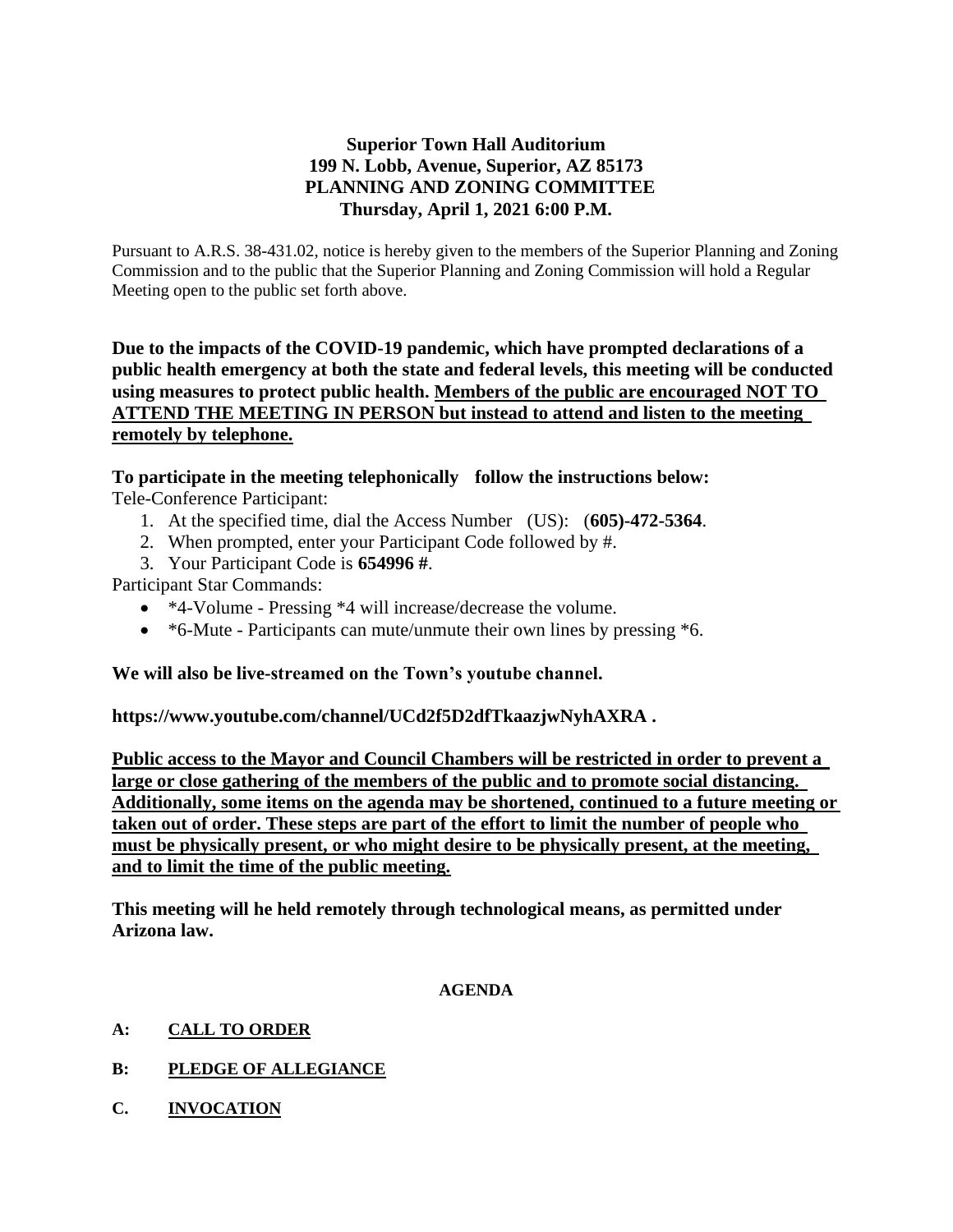# **Superior Town Hall Auditorium 199 N. Lobb, Avenue, Superior, AZ 85173 PLANNING AND ZONING COMMITTEE Thursday, April 1, 2021 6:00 P.M.**

Pursuant to A.R.S. 38-431.02, notice is hereby given to the members of the Superior Planning and Zoning Commission and to the public that the Superior Planning and Zoning Commission will hold a Regular Meeting open to the public set forth above.

**Due to the impacts of the COVID-19 pandemic, which have prompted declarations of a public health emergency at both the state and federal levels, this meeting will be conducted using measures to protect public health. Members of the public are encouraged NOT TO ATTEND THE MEETING IN PERSON but instead to attend and listen to the meeting remotely by telephone.**

# **To participate in the meeting telephonically follow the instructions below:**

Tele-Conference Participant:

- 1. At the specified time, dial the Access Number (US): (**605)-472-5364**.
- 2. When prompted, enter your Participant Code followed by #.
- 3. Your Participant Code is **654996 #**.

Participant Star Commands:

- \*4-Volume Pressing \*4 will increase/decrease the volume.
- \*6-Mute Participants can mute/unmute their own lines by pressing \*6.

### **We will also be live-streamed on the Town's youtube channel.**

**https://www.youtube.com/channel/UCd2f5D2dfTkaazjwNyhAXRA .** 

**Public access to the Mayor and Council Chambers will be restricted in order to prevent a large or close gathering of the members of the public and to promote social distancing. Additionally, some items on the agenda may be shortened, continued to a future meeting or taken out of order. These steps are part of the effort to limit the number of people who must be physically present, or who might desire to be physically present, at the meeting, and to limit the time of the public meeting.**

**This meeting will he held remotely through technological means, as permitted under Arizona law.**

#### **AGENDA**

- **A: CALL TO ORDER**
- **B: PLEDGE OF ALLEGIANCE**
- **C. INVOCATION**